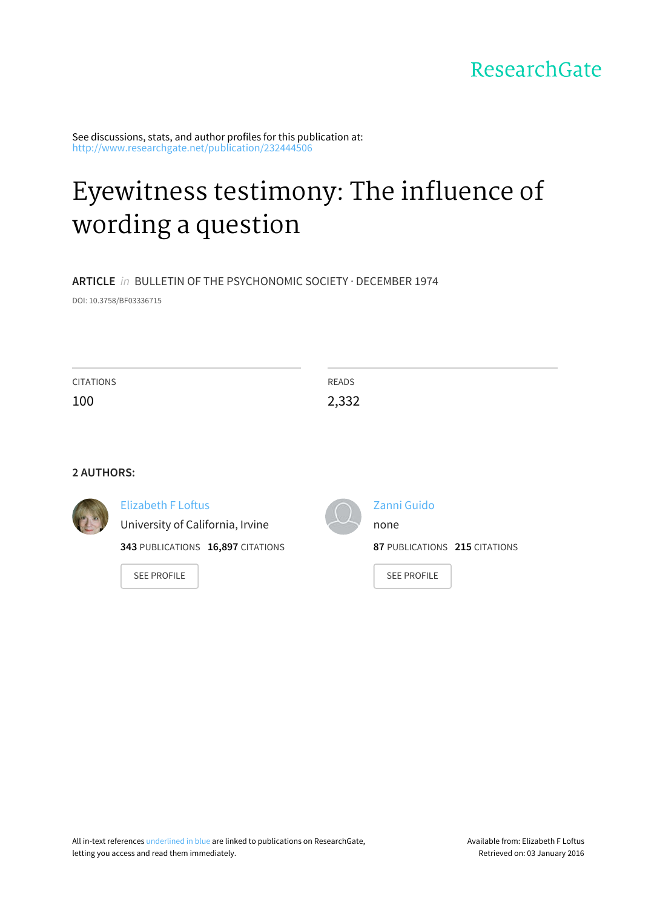ResearchGate

See discussions, stats, and author profiles for this publication at: [http://www.researchgate.net/publication/232444506](http://www.researchgate.net/publication/232444506_Eyewitness_testimony_The_influence_of_wording_a_question?enrichId=rgreq-a92a0299-e747-4028-8fc8-b1e32edfb2cb&enrichSource=Y292ZXJQYWdlOzIzMjQ0NDUwNjtBUzoxMDE3MTA3MjI3NjQ4MTVAMTQwMTI2MTEzNDkxOQ%3D%3D&el=1_x_2)

# [Eyewitness](http://www.researchgate.net/publication/232444506_Eyewitness_testimony_The_influence_of_wording_a_question?enrichId=rgreq-a92a0299-e747-4028-8fc8-b1e32edfb2cb&enrichSource=Y292ZXJQYWdlOzIzMjQ0NDUwNjtBUzoxMDE3MTA3MjI3NjQ4MTVAMTQwMTI2MTEzNDkxOQ%3D%3D&el=1_x_3) testimony: The influence of wording a question

**ARTICLE** in BULLETIN OF THE PSYCHONOMIC SOCIETY · DECEMBER 1974

DOI: 10.3758/BF03336715

| <b>CITATIONS</b><br>100 |                                                                                                    | <b>READS</b><br>2,332 |                                                      |
|-------------------------|----------------------------------------------------------------------------------------------------|-----------------------|------------------------------------------------------|
| <b>2 AUTHORS:</b>       |                                                                                                    |                       |                                                      |
|                         | <b>Elizabeth F Loftus</b><br>University of California, Irvine<br>343 PUBLICATIONS 16,897 CITATIONS |                       | Zanni Guido<br>none<br>87 PUBLICATIONS 215 CITATIONS |

SEE [PROFILE](http://www.researchgate.net/profile/Elizabeth_Loftus?enrichId=rgreq-a92a0299-e747-4028-8fc8-b1e32edfb2cb&enrichSource=Y292ZXJQYWdlOzIzMjQ0NDUwNjtBUzoxMDE3MTA3MjI3NjQ4MTVAMTQwMTI2MTEzNDkxOQ%3D%3D&el=1_x_7)

SEE [PROFILE](http://www.researchgate.net/profile/Zanni_Guido?enrichId=rgreq-a92a0299-e747-4028-8fc8-b1e32edfb2cb&enrichSource=Y292ZXJQYWdlOzIzMjQ0NDUwNjtBUzoxMDE3MTA3MjI3NjQ4MTVAMTQwMTI2MTEzNDkxOQ%3D%3D&el=1_x_7)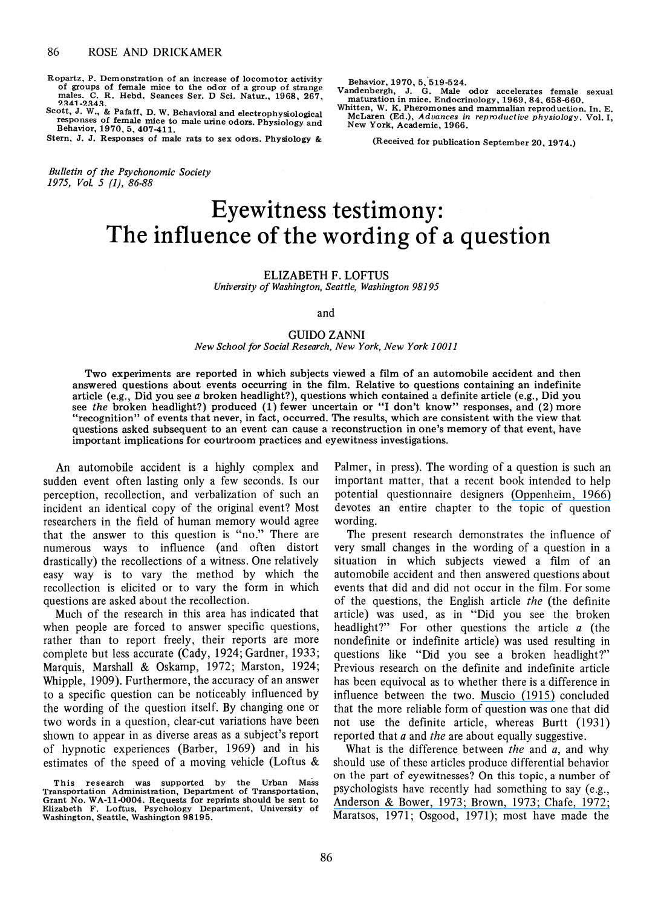Ropartz, P. Demonstration of an increase of locomotor activity of groups of female mice to the odor of a group of strange<br>males. C. R. Hebd. Seances Ser. D Sci. Natur., 1968, 267,<br>2341-2343.

nation. O. H. Hebd. Bealtes Sel. D Sci. Natur., 1906, 201,<br>Scott, J. W., & Pafaff, D. W. Behavioral and electrophysiological responses of female mice to male urine odors. Physiology and Behavior, 1970, 5, 407-411.

Stern, J. J. Responses of male rats to sex odors. Physiology &

*Bulletin of the Psychonomic Society 1975, Vol.* 5 (1), 86-88

Behavior, 1970, 5, 519-524.

Vandenbergh, J. G. Male odor accelerates female sexual maturation in mice. Endocrinology, 1969, 84, 658-660.

Whitten, W. K. Pheromones and mammalian reproduction. In. E. McLaren (Ed.), Advances in reproductive physiology. Vol. I, New York, Academic, 1966.

(Received for publication September 20, 1974.)

# **Eyewitness testimony: The influence of the wording of a question**

### ELIZABETH F. LOFTUS

*University of Washington, Seattle, Washington 98195* 

and

# GUIDO ZANNI

# *New School for Social Research, New York, New York 10011*

Two experiments are reported in which subjects viewed a film of an automobile accident and then answered questions about events occurring in the film. Relative to questions containing an indefinite article (e.g., Did you see a broken headlight?), questions which contained a definite article (e.g., Did you see *the* broken headlight?) produced (1) fewer uncertain or "I don't know" responses, and (2) more "recognition" of events that never, in fact, occurred. The results, which are consistent with the view that questions asked subsequent to an event can cause a reconstruction in one's memory of that event, have important implications for courtroom practices and eyewitness investigations.

An automobile accident is a highly complex and sudden event often lasting only a few seconds. Is our perception, recollection, and verbalization of such an incident an identical copy of the original event? Most researchers in the field of human memory would agree that the answer to this question is "no." There are numerous ways to influence (and often distort drastically) the recollections of a witness. One relatively easy way is to vary the method by which the recollection is elicited or to vary the form in which questions are asked about the recollection.

Much of the research in this area has indicated that when people are forced to answer specific questions, rather than to report freely, their reports are more complete but less accurate (Cady, 1924; Gardner, 1933; Marquis, Marshall & Oskamp, 1972; Marston, 1924; Whipple, 1909). Furthermore, the accuracy of an answer to a specific question can be noticeably influenced by the wording of the question itself. By changing one or two words in a question, clear-cut variations have been shown to appear in as diverse areas as a subject's report of hypnotic experiences (Barber, 1969) and in his estimates of the speed of a moving vehicle (Loftus & Palmer, in press). The wording of a question is such an important matter, that a recent book intended to help potential questionnaire designers [\(Oppenheim, 1966\)](https://www.researchgate.net/publication/49305851_Questionnaire_Design_And_Attitude_Measurement?el=1_x_8&enrichId=rgreq-a92a0299-e747-4028-8fc8-b1e32edfb2cb&enrichSource=Y292ZXJQYWdlOzIzMjQ0NDUwNjtBUzoxMDE3MTA3MjI3NjQ4MTVAMTQwMTI2MTEzNDkxOQ==) devotes an entire chapter to the topic of question wording.

The present research demonstrates the influence of very small changes in the wording of a question in a situation in which subjects viewed a film of an automobile accident and then answered questions about events that did and did not occur in the film , For some of the questions, the English article *the* (the definite article) was used, as in "Did you see the broken headlight?" For other questions the article a (the nondefinite or indefinite article) was used resulting in questions like "Did you see a broken headlight?" Previous research on the definite and indefinite article has been equivocal as to whether there is a difference in influence between the two. [Muscio \(1915\)](https://www.researchgate.net/publication/229768176_The_Influence_of_the_Form_of_the_Question?el=1_x_8&enrichId=rgreq-a92a0299-e747-4028-8fc8-b1e32edfb2cb&enrichSource=Y292ZXJQYWdlOzIzMjQ0NDUwNjtBUzoxMDE3MTA3MjI3NjQ4MTVAMTQwMTI2MTEzNDkxOQ==) concluded that the more reliable form of question was one that did not use the definite article, whereas Burtt (1931) reported that *a* and *the* are about equally suggestive.

What is the difference between *the* and *a,* and why should use of these articles produce differential behavior on the part of eyewitnesses? On this topic, a number of psychologists have recently had something to say (e.g., [Anderson & Bower, 1973; Brown, 1973; Chafe, 1972;](https://www.researchgate.net/publication/270387211_Human_Associative_Memory?el=1_x_8&enrichId=rgreq-a92a0299-e747-4028-8fc8-b1e32edfb2cb&enrichSource=Y292ZXJQYWdlOzIzMjQ0NDUwNjtBUzoxMDE3MTA3MjI3NjQ4MTVAMTQwMTI2MTEzNDkxOQ==)  Maratsos, 1971; Osgood, 1971); most have made the

This research was supported by the Urban Mass<br>Transportation Administration, Department of Transportation, Grant No. WA-ll-0004. Requests for reprints should be sent to Elizabeth F. Loftus, Psychology Department, University of Washington, Seattle, Washington 98195.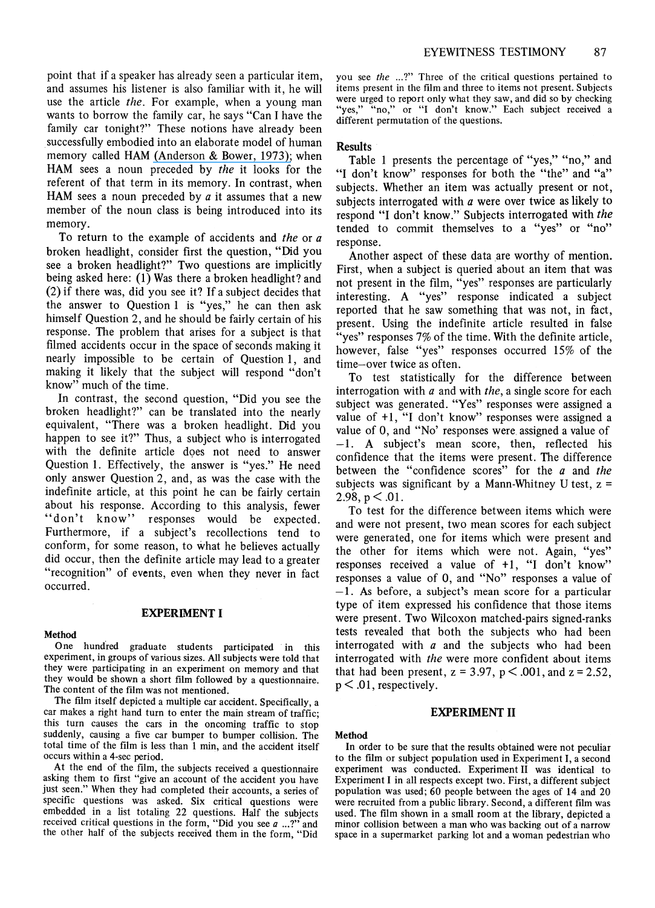point that if a speaker has already seen a particular item, and assumes his listener is also familiar with it, he will use the article *the.* For example, when a young man wants to borrow the family car, he says "Can I have the family car tonight?" These notions have already been successfully embodied into an elaborate model of human memory called HAM [\(Anderson & Bower, 1973\);](https://www.researchgate.net/publication/270387211_Human_Associative_Memory?el=1_x_8&enrichId=rgreq-a92a0299-e747-4028-8fc8-b1e32edfb2cb&enrichSource=Y292ZXJQYWdlOzIzMjQ0NDUwNjtBUzoxMDE3MTA3MjI3NjQ4MTVAMTQwMTI2MTEzNDkxOQ==) when HAM sees a noun preceded by *the* it looks for the referent of that term in its memory. In contrast, when HAM sees a noun preceded by *a* it assumes that a new member of the noun class is being introduced into its memory.

To return to the example of accidents and *the* or *a*  broken headlight, consider first the question, "Did you see a broken headlight?" Two questions are implicitly being asked here: (1) Was there a broken headlight? and (2) if there was, did you see it? If a subject decides that the answer to Question 1 is "yes," he can then ask himself Question 2, and he should be fairly certain of his response. The problem that arises for a subject is that filmed accidents occur in the space of seconds making it nearly impossible to be certain of Question 1, and making it likely that the subject will respond "don't know" much of the time.

In contrast, the second question, "Did you see the broken headlight?" can be translated into the nearly equivalent, "There was a broken headlight. Did you happen to see it?" Thus, a subject who is interrogated with the definite article does not need to answer Question 1. Effectively, the answer is "yes." He need only answer Question 2, and, as was the case with the indefinite article, at this point he can be fairly certain about his response. According to this analysis, fewer "don't know" responses would be expected. Furthermore, if a subject's recollections tend to conform, for some reason, to what he believes actually did occur, then the definite article may lead to a greater "recognition" of events, even when they never in fact occurred.

#### **EXPERIMENT I**

#### Method

One hundred graduate students participated in this experiment, in groups of various sizes. All subjects were told that they were participating in an experiment on memory and that they would be shown a short film followed by a questionnaire. The content of the film was not mentioned.

The film itself depicted a multiple car accident. Specifically, a car makes a right hand turn to enter the main stream of traffic; this turn causes the cars in the oncoming traffic to stop suddenly, causing a five car bumper to bumper collision. The total time of the film is less than 1 min, and the accident itself occurs within a 4-sec period.

At the end of the film, the subjects received a questionnaire asking them to first "give an account of the accident you have just seen." When they had completed their accounts, a series of specific questions was asked. Six critical questions were embedded in a list totaling 22 questions. Half the subjects received critical questions in the form, "Did you see *a* ... ?" and the other half of the subjects received them in the form, "Did you see *the* ...?" Three of the critical questions pertained to items present in the film and three to items not present. Subjects were urged to report only what they saw, and did so by checking "yes," "no," or "I don't know." Each subject received a different permutation of the questions.

# **Results**

Table 1 presents the percentage of "yes," "no," and "I don't know" responses for both the "the" and "a" subjects. Whether an item was actually present or not, subjects interrogated with *a* were over twice as likely to respond "I don't know." Subjects interrogated with *the*  tended to commit themselves to a "yes" or "no" response.

Another aspect of these data are worthy of mention\_ First, when a subject is queried about an item that was not present in the film, "yes" responses are particularly interesting. A "yes" response indicated a subject reported that he saw something that was not, in fact, present. Using the indefinite article resulted in false "yes" responses 7% of the time. With the definite article, however, false "yes" responses occurred 15% of the time-over twice as often.

To test statistically for the difference between interrogation with *a* and with *the,* a single score for each subject was generated. "Yes" responses were assigned a value of +1, "I don't know" responses were assigned a value of 0, and "No' responses were. assigned a value of -1. A subject's mean score, then, reflected his confidence that the items were present. The difference between the "confidence scores" for the *a* and *the*  subjects was significant by a Mann-Whitney U test,  $z =$ 2.98,  $p < .01$ .

To test for the difference between items which were and were not present, two mean scores for each subject were generated, one for items which were present and the other for items which were not. Again, "yes" responses received a value of  $+1$ , "I don't know" responses a value of 0, and "No" responses a value of -1. As before, a subject's mean score for a particular type of item expressed his confidence that those items were present. Two Wilcoxon matched-pairs signed-ranks tests revealed that both the subjects who had been interrogated with  $a$  and the subjects who had been interrogated with *the* were more confident about items that had been present,  $z = 3.97$ ,  $p < .001$ , and  $z = 2.52$ ,  $p < .01$ , respectively.

#### **EXPERIMENT II**

#### Method

In order to be sure that the results obtained were not peculiar to the film or subject population used in Experiment I, a second experiment was conducted. Experiment II was identical to Experiment I in all respects except two. First, a different subject population was used; 60 people between the ages of 14 and 20 were recruited from a public library. Second, a different film was used. The film shown in a small room at the library, depicted a minor collision between a man who was backing out of a narrow space in a supermarket parking lot and a woman pedestrian who